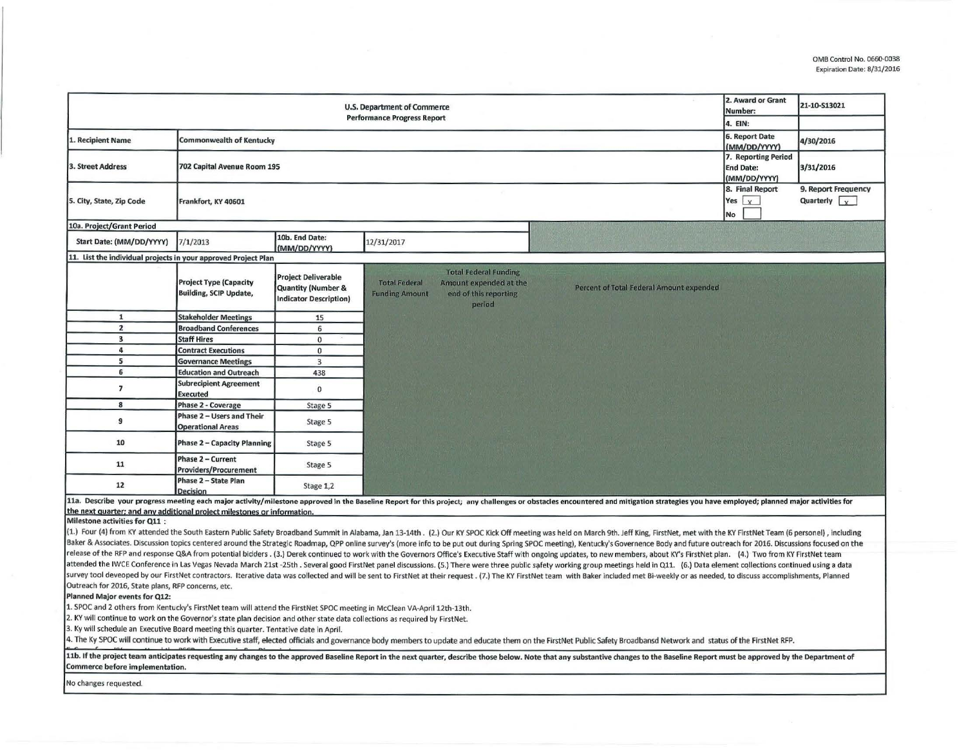| U.S. Department of Commerce<br><b>Performance Progress Report</b> |                                                                                     |                                                                                   |                                                                                                                                            |                                                 |                                           | 21-10-S13021                                |
|-------------------------------------------------------------------|-------------------------------------------------------------------------------------|-----------------------------------------------------------------------------------|--------------------------------------------------------------------------------------------------------------------------------------------|-------------------------------------------------|-------------------------------------------|---------------------------------------------|
|                                                                   |                                                                                     |                                                                                   |                                                                                                                                            |                                                 | 4. EIN:                                   |                                             |
| . Recipient Name                                                  | <b>Commonwealth of Kentucky</b>                                                     |                                                                                   |                                                                                                                                            |                                                 | 6. Report Date<br>(MM/DD/YYYY)            | 4/30/2016                                   |
| <b>3. Street Address</b><br>702 Capital Avenue Room 195           |                                                                                     |                                                                                   |                                                                                                                                            |                                                 |                                           | 3/31/2016                                   |
| 5. City, State, Zip Code                                          | Frankfort, KY 40601                                                                 |                                                                                   |                                                                                                                                            |                                                 | 8. Final Report<br>Yes $x$<br>No          | 9. Report Frequency<br>Quarterly $\sqrt{x}$ |
| 10a. Project/Grant Period                                         |                                                                                     |                                                                                   |                                                                                                                                            |                                                 |                                           |                                             |
| Start Date: (MM/DD/YYYY)                                          | 7/1/2013                                                                            | 10b. End Date:<br>(MM/DD/YYYY)                                                    | 12/31/2017                                                                                                                                 |                                                 |                                           |                                             |
| 11. List the individual projects in your approved Project Plan    |                                                                                     |                                                                                   |                                                                                                                                            |                                                 |                                           |                                             |
|                                                                   | <b>Project Type (Capacity</b><br><b>Building, SCIP Update,</b>                      | <b>Project Deliverable</b><br>Quantity (Number &<br><b>Indicator Description)</b> | <b>Total Federal Funding</b><br><b>Total Federal</b><br>Amount expended at the<br>end of this reporting<br><b>Funding Amount</b><br>period | <b>Percent of Total Federal Amount expended</b> |                                           |                                             |
| $\mathbf{1}$                                                      | <b>Stakeholder Meetings</b>                                                         | 15                                                                                |                                                                                                                                            |                                                 |                                           |                                             |
| $\overline{2}$                                                    | <b>Broadband Conferences</b>                                                        | 6                                                                                 |                                                                                                                                            |                                                 |                                           |                                             |
| $\overline{\mathbf{3}}$                                           | <b>Staff Hires</b>                                                                  | $\mathbf 0$                                                                       |                                                                                                                                            |                                                 |                                           |                                             |
| 4                                                                 | <b>Contract Executions</b>                                                          | 0                                                                                 |                                                                                                                                            |                                                 |                                           |                                             |
| 5                                                                 | <b>Governance Meetings</b>                                                          | 3                                                                                 |                                                                                                                                            |                                                 |                                           |                                             |
| 6                                                                 | <b>Education and Outreach</b>                                                       | 438                                                                               |                                                                                                                                            |                                                 |                                           |                                             |
| $\overline{\mathbf{z}}$                                           | <b>Subrecipient Agreement</b><br><b>Executed</b>                                    | 0                                                                                 |                                                                                                                                            |                                                 |                                           |                                             |
| 8                                                                 | Phase 2 - Coverage                                                                  | Stage 5                                                                           |                                                                                                                                            |                                                 |                                           |                                             |
| 9                                                                 | Phase 2 - Users and Their<br><b>Operational Areas</b>                               | Stage 5                                                                           |                                                                                                                                            |                                                 |                                           |                                             |
| 10                                                                | <b>Phase 2 - Capacity Planning</b>                                                  | Stage 5                                                                           |                                                                                                                                            |                                                 |                                           |                                             |
| 11                                                                | Phase 2 - Current<br><b>Providers/Procurement</b>                                   | Stage 5                                                                           |                                                                                                                                            |                                                 |                                           |                                             |
| 12<br>11a December unus                                           | Phase 2 - State Plan<br><b>Decision</b><br>and line pools motor with the full state | Stage 1,2                                                                         | $\mathbf{A}$ to the Boundary $\mathbf{B}$<br>$\cdots$ $\cdots$ $\cdots$                                                                    |                                                 | starrade placement professionalistica for |                                             |

L1a. Describe your progress meeting each major activity/milestone approved in the Baseline Report for this project; any challenges or obstacles encountered and mitigation strategies you have employed; planned major activit the next quarter; and any additional project milestones or information.<br>Milestone activities for Q11 :

(1.) Four (4) from KY attended the South Eastern Public Safety Broadband Summit in Alabama, Jan 13-14th. (2.) Our KY SPOC Kick Off meeting was held on March 9th. Jeff King, FirstNet, met with the KY FirstNet Team (6 person Baker & Associates. Discussion topics centered around the Strategic Roadmap, QPP online survey's (more info to be put out during Spring SPOC meeting), Kentucky's Governence Body and future outreach for 2016. Discussions fo release of the RFP and response Q&A from potential bidders. (3.) Derek continued to work with the Governors Office's Executive Staff with ongoing updates, to new members, about KY's FirstNet plan. (4.) Two from KY FirstNet attended the IWCE Conference in Las Vegas Nevada March 21st -25th . Several good FirstNet panel discussions. (5.) There were three public safety working group meetings held in Q11. (6.) Data element collections continued u survey tool deveoped by our FirstNet contractors. Iterative data was collected and will be sent to FirstNet at their request. (7.) The KY FirstNet team with Baker included met Bi-weekly or as needed, to discuss accomplishm Outreach for 2016, State plans, RFP concerns, etc.

Planned Major events for Q12:

1. SPOC and 2 others from Kentucky's FirstNet team will attend the FirstNet SPOC meeting in McClean VA-April 12th-13th.

2. KY will continue to work on the Governor's state plan decision and other state data collections as required by FirstNet.

3. Ky will schedule an Executive Board meeting this quarter. Tentative date in April.

The Ky SPOC will continue to work with Executive staff, elected officials and governance body members to update and educate them on the FirstNet Public Safety Broadbansd Network and status of the FirstNet RFP.

11b. If the project team anticipates requesting any changes to the approved Baseline Report in the next quarter, describe those below. Note that any substantive changes to the Baseline Report must be approved by the Depart Commerce before implementation.

No changes requested.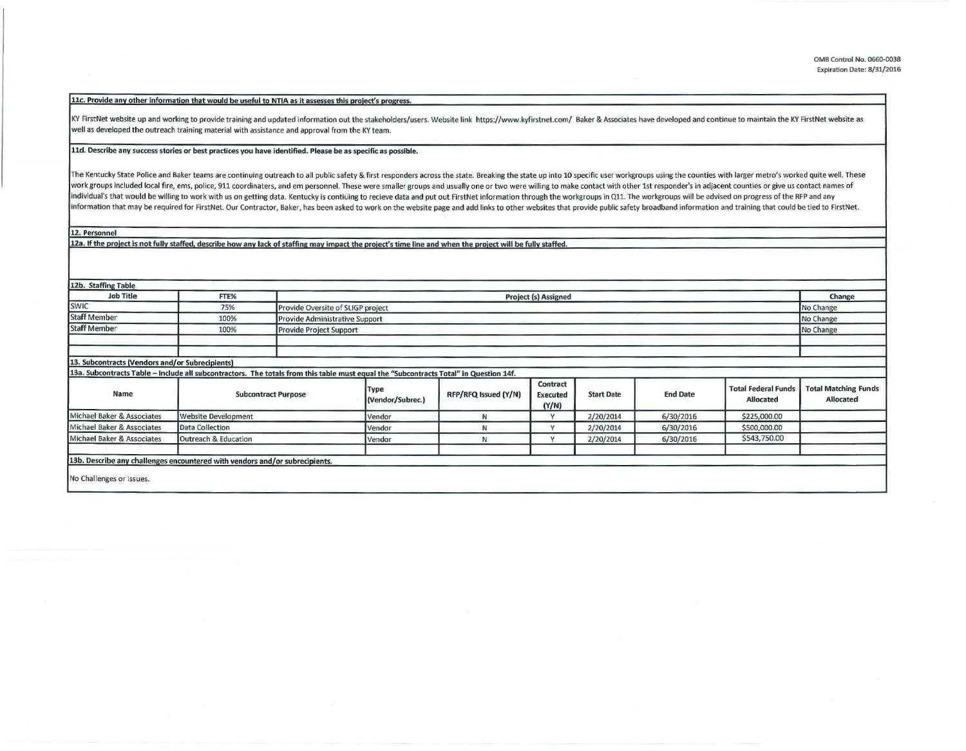11c. Provide any other information that would be useful to NTIA as it assesses this project's progress.

KY FirstNet website up and working to provide training and updated information out the stakeholders/users. Website link https://www.kyfirstnet.com/ Baker & Associates have developed and continue to maintain the KY FirstNet well as developed the outreach training material with assistance and approval from the KY team.

## 11d. Describe any success stories or best practices you have identified. Please be as specific as possible.

The Kentucky State Police and Baker teams are continuing outreach to all public safety & first responders across the state. Breaking the state up into 10 specific user workgroups using the counties with larger metro's work work groups included local fire, ems, police, 911 coordinaters, and em personnel. These were smaller groups and usually one or two were willing to make contact with other 1st responder's in adjacent counties or give us con individual's that would be willing to work with us on getting data. Kentucky is contiuing to recieve data and put out FirstNet information through the workgroups in Q11. The workgroups will be advised on progress of the RF information that may be required for FirstNet. Our Contractor, Baker, has been asked to work on the website page and add links to other websites that provide public safety broadband information and training that could be t

12. Personnel

12a. If the project is not fully staffed, describe how any lack of staffing may impact the project's time line and when the project will be fully staffed.

| 12b. Staffing Table                                                                                                                   |                            |  |                                                    |                      |                                      |                   |                 |                                                |                                          |
|---------------------------------------------------------------------------------------------------------------------------------------|----------------------------|--|----------------------------------------------------|----------------------|--------------------------------------|-------------------|-----------------|------------------------------------------------|------------------------------------------|
| <b>Job Title</b>                                                                                                                      | FTE%                       |  | <b>Project (s) Assigned</b>                        |                      |                                      |                   |                 |                                                |                                          |
| <b>SWIC</b>                                                                                                                           | 75%                        |  | No Change<br>Provide Oversite of SLIGP project     |                      |                                      |                   |                 |                                                |                                          |
| <b>Staff Member</b>                                                                                                                   | 100%                       |  | <b>Provide Administrative Support</b><br>No Change |                      |                                      |                   |                 |                                                |                                          |
| <b>Staff Member</b>                                                                                                                   | 100%                       |  | No Change<br>Provide Project Support               |                      |                                      |                   |                 |                                                |                                          |
|                                                                                                                                       |                            |  |                                                    |                      |                                      |                   |                 |                                                |                                          |
|                                                                                                                                       |                            |  |                                                    |                      |                                      |                   |                 |                                                |                                          |
| 13. Subcontracts (Vendors and/or Subrecipients)                                                                                       |                            |  |                                                    |                      |                                      |                   |                 |                                                |                                          |
| 13a. Subcontracts Table - Include all subcontractors. The totals from this table must equal the "Subcontracts Total" in Question 14f. |                            |  |                                                    |                      |                                      |                   |                 |                                                |                                          |
| Name                                                                                                                                  | <b>Subcontract Purpose</b> |  | Type<br>(Vendor/Subrec.)                           | RFP/RFQ Issued (Y/N) | Contract<br><b>Executed</b><br>(Y/N) | <b>Start Date</b> | <b>End Date</b> | <b>Total Federal Funds</b><br><b>Allocated</b> | <b>Total Matching Funds</b><br>Allocated |
| Michael Baker & Associates                                                                                                            | Website Development        |  | Vendor                                             | N                    |                                      | 2/20/2014         | 6/30/2016       | \$225,000.00                                   |                                          |
| Michael Baker & Associates                                                                                                            | Data Collection            |  | Vendor                                             | N                    |                                      | 2/20/2014         | 6/30/2016       | \$500,000.00                                   |                                          |
| Michael Baker & Associates                                                                                                            | Outreach & Education       |  | Vendor                                             | N                    |                                      | 2/20/2014         | 6/30/2016       | \$543,750.00                                   |                                          |
| 13b. Describe any challenges encountered with vendors and/or subrecipients.<br>No Challenges or issues.                               |                            |  |                                                    |                      |                                      |                   |                 |                                                |                                          |